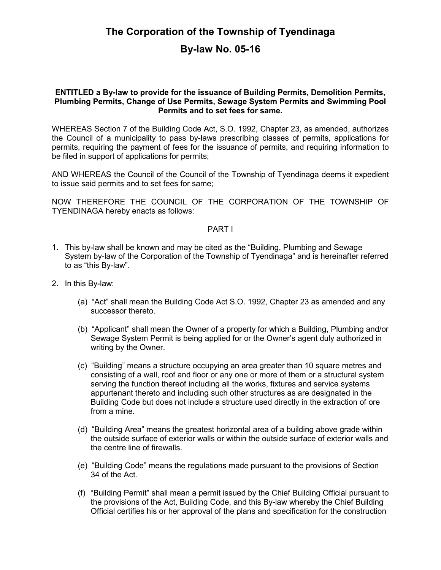# The Corporation of the Township of Tyendinaga By-law No. 05-16

#### ENTITLED a By-law to provide for the issuance of Building Permits, Demolition Permits, Plumbing Permits, Change of Use Permits, Sewage System Permits and Swimming Pool Permits and to set fees for same.

WHEREAS Section 7 of the Building Code Act, S.O. 1992, Chapter 23, as amended, authorizes the Council of a municipality to pass by-laws prescribing classes of permits, applications for permits, requiring the payment of fees for the issuance of permits, and requiring information to be filed in support of applications for permits;

AND WHEREAS the Council of the Council of the Township of Tyendinaga deems it expedient to issue said permits and to set fees for same;

NOW THEREFORE THE COUNCIL OF THE CORPORATION OF THE TOWNSHIP OF TYENDINAGA hereby enacts as follows:

#### PART I

- 1. This by-law shall be known and may be cited as the "Building, Plumbing and Sewage System by-law of the Corporation of the Township of Tyendinaga" and is hereinafter referred to as "this By-law".
- 2. In this By-law:
	- (a) "Act" shall mean the Building Code Act S.O. 1992, Chapter 23 as amended and any successor thereto.
	- (b) "Applicant" shall mean the Owner of a property for which a Building, Plumbing and/or Sewage System Permit is being applied for or the Owner's agent duly authorized in writing by the Owner.
	- (c) "Building" means a structure occupying an area greater than 10 square metres and consisting of a wall, roof and floor or any one or more of them or a structural system serving the function thereof including all the works, fixtures and service systems appurtenant thereto and including such other structures as are designated in the Building Code but does not include a structure used directly in the extraction of ore from a mine.
	- (d) "Building Area" means the greatest horizontal area of a building above grade within the outside surface of exterior walls or within the outside surface of exterior walls and the centre line of firewalls.
	- (e) "Building Code" means the regulations made pursuant to the provisions of Section 34 of the Act.
	- (f) "Building Permit" shall mean a permit issued by the Chief Building Official pursuant to the provisions of the Act, Building Code, and this By-law whereby the Chief Building Official certifies his or her approval of the plans and specification for the construction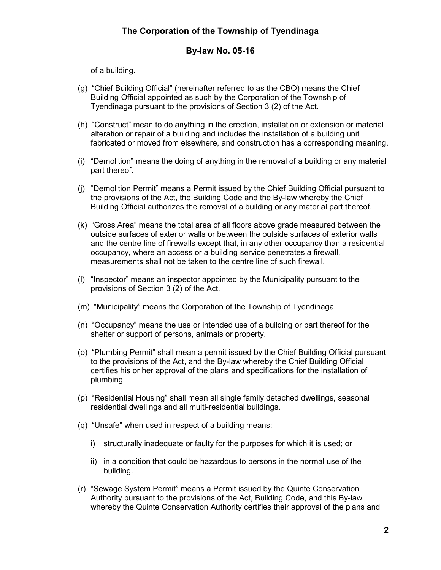### By-law No. 05-16

of a building.

- (g) "Chief Building Official" (hereinafter referred to as the CBO) means the Chief Building Official appointed as such by the Corporation of the Township of Tyendinaga pursuant to the provisions of Section 3 (2) of the Act.
- (h) "Construct" mean to do anything in the erection, installation or extension or material alteration or repair of a building and includes the installation of a building unit fabricated or moved from elsewhere, and construction has a corresponding meaning.
- (i) "Demolition" means the doing of anything in the removal of a building or any material part thereof.
- (j) "Demolition Permit" means a Permit issued by the Chief Building Official pursuant to the provisions of the Act, the Building Code and the By-law whereby the Chief Building Official authorizes the removal of a building or any material part thereof.
- (k) "Gross Area" means the total area of all floors above grade measured between the outside surfaces of exterior walls or between the outside surfaces of exterior walls and the centre line of firewalls except that, in any other occupancy than a residential occupancy, where an access or a building service penetrates a firewall, measurements shall not be taken to the centre line of such firewall.
- (l) "Inspector" means an inspector appointed by the Municipality pursuant to the provisions of Section 3 (2) of the Act.
- (m) "Municipality" means the Corporation of the Township of Tyendinaga.
- (n) "Occupancy" means the use or intended use of a building or part thereof for the shelter or support of persons, animals or property.
- (o) "Plumbing Permit" shall mean a permit issued by the Chief Building Official pursuant to the provisions of the Act, and the By-law whereby the Chief Building Official certifies his or her approval of the plans and specifications for the installation of plumbing.
- (p) "Residential Housing" shall mean all single family detached dwellings, seasonal residential dwellings and all multi-residential buildings.
- (q) "Unsafe" when used in respect of a building means:
	- i) structurally inadequate or faulty for the purposes for which it is used; or
	- ii) in a condition that could be hazardous to persons in the normal use of the building.
- (r) "Sewage System Permit" means a Permit issued by the Quinte Conservation Authority pursuant to the provisions of the Act, Building Code, and this By-law whereby the Quinte Conservation Authority certifies their approval of the plans and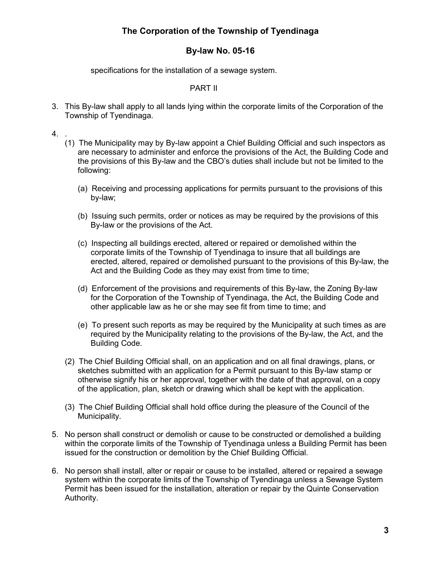### By-law No. 05-16

specifications for the installation of a sewage system.

#### PART II

- 3. This By-law shall apply to all lands lying within the corporate limits of the Corporation of the Township of Tyendinaga.
- 4. .
	- (1) The Municipality may by By-law appoint a Chief Building Official and such inspectors as are necessary to administer and enforce the provisions of the Act, the Building Code and the provisions of this By-law and the CBO's duties shall include but not be limited to the following:
		- (a) Receiving and processing applications for permits pursuant to the provisions of this by-law;
		- (b) Issuing such permits, order or notices as may be required by the provisions of this By-law or the provisions of the Act.
		- (c) Inspecting all buildings erected, altered or repaired or demolished within the corporate limits of the Township of Tyendinaga to insure that all buildings are erected, altered, repaired or demolished pursuant to the provisions of this By-law, the Act and the Building Code as they may exist from time to time;
		- (d) Enforcement of the provisions and requirements of this By-law, the Zoning By-law for the Corporation of the Township of Tyendinaga, the Act, the Building Code and other applicable law as he or she may see fit from time to time; and
		- (e) To present such reports as may be required by the Municipality at such times as are required by the Municipality relating to the provisions of the By-law, the Act, and the Building Code.
	- (2) The Chief Building Official shall, on an application and on all final drawings, plans, or sketches submitted with an application for a Permit pursuant to this By-law stamp or otherwise signify his or her approval, together with the date of that approval, on a copy of the application, plan, sketch or drawing which shall be kept with the application.
	- (3) The Chief Building Official shall hold office during the pleasure of the Council of the Municipality.
- 5. No person shall construct or demolish or cause to be constructed or demolished a building within the corporate limits of the Township of Tyendinaga unless a Building Permit has been issued for the construction or demolition by the Chief Building Official.
- 6. No person shall install, alter or repair or cause to be installed, altered or repaired a sewage system within the corporate limits of the Township of Tyendinaga unless a Sewage System Permit has been issued for the installation, alteration or repair by the Quinte Conservation Authority.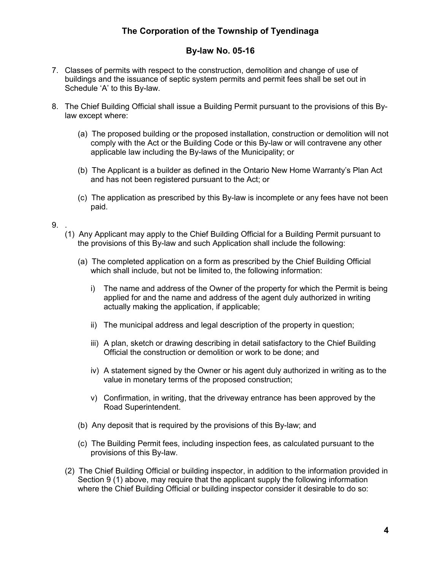### By-law No. 05-16

- 7. Classes of permits with respect to the construction, demolition and change of use of buildings and the issuance of septic system permits and permit fees shall be set out in Schedule 'A' to this By-law.
- 8. The Chief Building Official shall issue a Building Permit pursuant to the provisions of this Bylaw except where:
	- (a) The proposed building or the proposed installation, construction or demolition will not comply with the Act or the Building Code or this By-law or will contravene any other applicable law including the By-laws of the Municipality; or
	- (b) The Applicant is a builder as defined in the Ontario New Home Warranty's Plan Act and has not been registered pursuant to the Act; or
	- (c) The application as prescribed by this By-law is incomplete or any fees have not been paid.

#### 9. .

- (1) Any Applicant may apply to the Chief Building Official for a Building Permit pursuant to the provisions of this By-law and such Application shall include the following:
	- (a) The completed application on a form as prescribed by the Chief Building Official which shall include, but not be limited to, the following information:
		- i) The name and address of the Owner of the property for which the Permit is being applied for and the name and address of the agent duly authorized in writing actually making the application, if applicable;
		- ii) The municipal address and legal description of the property in question;
		- iii) A plan, sketch or drawing describing in detail satisfactory to the Chief Building Official the construction or demolition or work to be done; and
		- iv) A statement signed by the Owner or his agent duly authorized in writing as to the value in monetary terms of the proposed construction;
		- v) Confirmation, in writing, that the driveway entrance has been approved by the Road Superintendent.
	- (b) Any deposit that is required by the provisions of this By-law; and
	- (c) The Building Permit fees, including inspection fees, as calculated pursuant to the provisions of this By-law.
- (2) The Chief Building Official or building inspector, in addition to the information provided in Section 9 (1) above, may require that the applicant supply the following information where the Chief Building Official or building inspector consider it desirable to do so: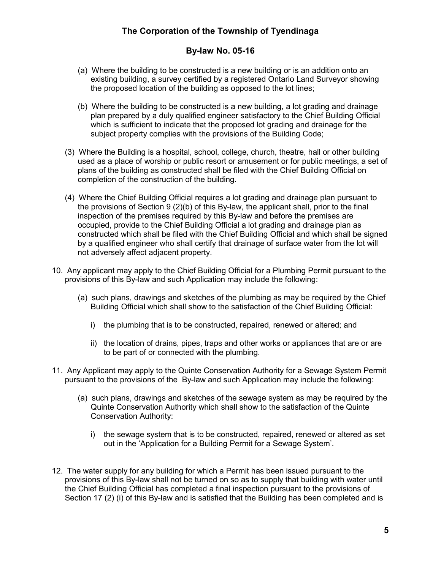#### By-law No. 05-16

- (a) Where the building to be constructed is a new building or is an addition onto an existing building, a survey certified by a registered Ontario Land Surveyor showing the proposed location of the building as opposed to the lot lines;
- (b) Where the building to be constructed is a new building, a lot grading and drainage plan prepared by a duly qualified engineer satisfactory to the Chief Building Official which is sufficient to indicate that the proposed lot grading and drainage for the subject property complies with the provisions of the Building Code;
- (3) Where the Building is a hospital, school, college, church, theatre, hall or other building used as a place of worship or public resort or amusement or for public meetings, a set of plans of the building as constructed shall be filed with the Chief Building Official on completion of the construction of the building.
- (4) Where the Chief Building Official requires a lot grading and drainage plan pursuant to the provisions of Section 9 (2)(b) of this By-law, the applicant shall, prior to the final inspection of the premises required by this By-law and before the premises are occupied, provide to the Chief Building Official a lot grading and drainage plan as constructed which shall be filed with the Chief Building Official and which shall be signed by a qualified engineer who shall certify that drainage of surface water from the lot will not adversely affect adjacent property.
- 10. Any applicant may apply to the Chief Building Official for a Plumbing Permit pursuant to the provisions of this By-law and such Application may include the following:
	- (a) such plans, drawings and sketches of the plumbing as may be required by the Chief Building Official which shall show to the satisfaction of the Chief Building Official:
		- i) the plumbing that is to be constructed, repaired, renewed or altered; and
		- ii) the location of drains, pipes, traps and other works or appliances that are or are to be part of or connected with the plumbing.
- 11. Any Applicant may apply to the Quinte Conservation Authority for a Sewage System Permit pursuant to the provisions of the By-law and such Application may include the following:
	- (a) such plans, drawings and sketches of the sewage system as may be required by the Quinte Conservation Authority which shall show to the satisfaction of the Quinte Conservation Authority:
		- i) the sewage system that is to be constructed, repaired, renewed or altered as set out in the 'Application for a Building Permit for a Sewage System'.
- 12. The water supply for any building for which a Permit has been issued pursuant to the provisions of this By-law shall not be turned on so as to supply that building with water until the Chief Building Official has completed a final inspection pursuant to the provisions of Section 17 (2) (i) of this By-law and is satisfied that the Building has been completed and is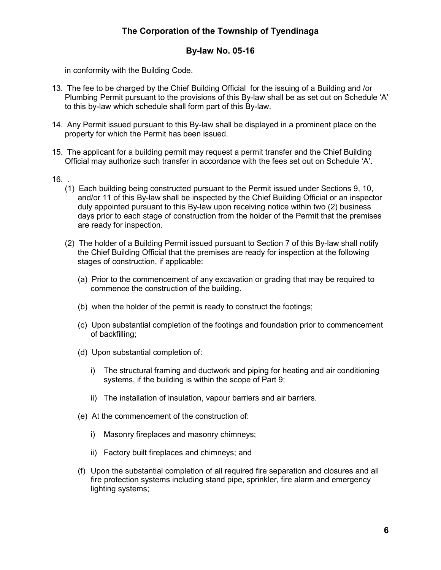#### By-law No. 05-16

in conformity with the Building Code.

- 13. The fee to be charged by the Chief Building Official for the issuing of a Building and /or Plumbing Permit pursuant to the provisions of this By-law shall be as set out on Schedule 'A' to this by-law which schedule shall form part of this By-law.
- 14. Any Permit issued pursuant to this By-law shall be displayed in a prominent place on the property for which the Permit has been issued.
- 15. The applicant for a building permit may request a permit transfer and the Chief Building Official may authorize such transfer in accordance with the fees set out on Schedule 'A'.
- 16. .
	- (1) Each building being constructed pursuant to the Permit issued under Sections 9, 10, and/or 11 of this By-law shall be inspected by the Chief Building Official or an inspector duly appointed pursuant to this By-law upon receiving notice within two (2) business days prior to each stage of construction from the holder of the Permit that the premises are ready for inspection.
	- (2) The holder of a Building Permit issued pursuant to Section 7 of this By-law shall notify the Chief Building Official that the premises are ready for inspection at the following stages of construction, if applicable:
		- (a) Prior to the commencement of any excavation or grading that may be required to commence the construction of the building.
		- (b) when the holder of the permit is ready to construct the footings;
		- (c) Upon substantial completion of the footings and foundation prior to commencement of backfilling;
		- (d) Upon substantial completion of:
			- i) The structural framing and ductwork and piping for heating and air conditioning systems, if the building is within the scope of Part 9;
			- ii) The installation of insulation, vapour barriers and air barriers.
		- (e) At the commencement of the construction of:
			- i) Masonry fireplaces and masonry chimneys;
			- ii) Factory built fireplaces and chimneys; and
		- (f) Upon the substantial completion of all required fire separation and closures and all fire protection systems including stand pipe, sprinkler, fire alarm and emergency lighting systems;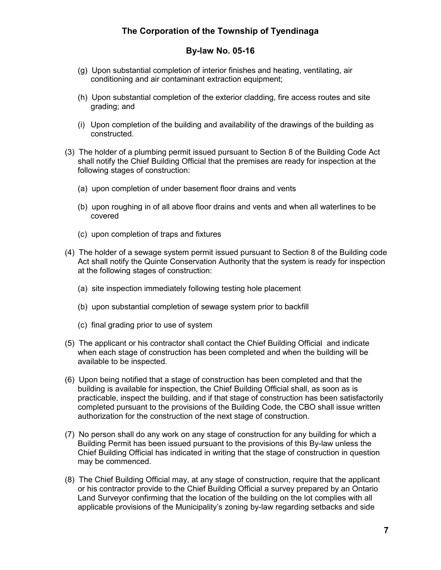### By-law No. 05-16

- (g) Upon substantial completion of interior finishes and heating, ventilating, air conditioning and air contaminant extraction equipment;
- (h) Upon substantial completion of the exterior cladding, fire access routes and site grading; and
- (i) Upon completion of the building and availability of the drawings of the building as constructed.
- (3) The holder of a plumbing permit issued pursuant to Section 8 of the Building Code Act shall notify the Chief Building Official that the premises are ready for inspection at the following stages of construction:
	- (a) upon completion of under basement floor drains and vents
	- (b) upon roughing in of all above floor drains and vents and when all waterlines to be covered
	- (c) upon completion of traps and fixtures
- (4) The holder of a sewage system permit issued pursuant to Section 8 of the Building code Act shall notify the Quinte Conservation Authority that the system is ready for inspection at the following stages of construction:
	- (a) site inspection immediately following testing hole placement
	- (b) upon substantial completion of sewage system prior to backfill
	- (c) final grading prior to use of system
- (5) The applicant or his contractor shall contact the Chief Building Official and indicate when each stage of construction has been completed and when the building will be available to be inspected.
- (6) Upon being notified that a stage of construction has been completed and that the building is available for inspection, the Chief Building Official shall, as soon as is practicable, inspect the building, and if that stage of construction has been satisfactorily completed pursuant to the provisions of the Building Code, the CBO shall issue written authorization for the construction of the next stage of construction.
- (7) No person shall do any work on any stage of construction for any building for which a Building Permit has been issued pursuant to the provisions of this By-law unless the Chief Building Official has indicated in writing that the stage of construction in question may be commenced.
- (8) The Chief Building Official may, at any stage of construction, require that the applicant or his contractor provide to the Chief Building Official a survey prepared by an Ontario Land Surveyor confirming that the location of the building on the lot complies with all applicable provisions of the Municipality's zoning by-law regarding setbacks and side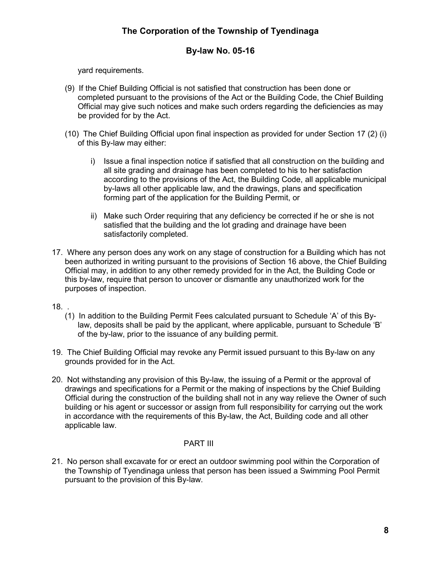### By-law No. 05-16

yard requirements.

- (9) If the Chief Building Official is not satisfied that construction has been done or completed pursuant to the provisions of the Act or the Building Code, the Chief Building Official may give such notices and make such orders regarding the deficiencies as may be provided for by the Act.
- (10) The Chief Building Official upon final inspection as provided for under Section 17 (2) (i) of this By-law may either:
	- i) Issue a final inspection notice if satisfied that all construction on the building and all site grading and drainage has been completed to his to her satisfaction according to the provisions of the Act, the Building Code, all applicable municipal by-laws all other applicable law, and the drawings, plans and specification forming part of the application for the Building Permit, or
	- ii) Make such Order requiring that any deficiency be corrected if he or she is not satisfied that the building and the lot grading and drainage have been satisfactorily completed.
- 17. Where any person does any work on any stage of construction for a Building which has not been authorized in writing pursuant to the provisions of Section 16 above, the Chief Building Official may, in addition to any other remedy provided for in the Act, the Building Code or this by-law, require that person to uncover or dismantle any unauthorized work for the purposes of inspection.

18. .

- (1) In addition to the Building Permit Fees calculated pursuant to Schedule 'A' of this Bylaw, deposits shall be paid by the applicant, where applicable, pursuant to Schedule 'B' of the by-law, prior to the issuance of any building permit.
- 19. The Chief Building Official may revoke any Permit issued pursuant to this By-law on any grounds provided for in the Act.
- 20. Not withstanding any provision of this By-law, the issuing of a Permit or the approval of drawings and specifications for a Permit or the making of inspections by the Chief Building Official during the construction of the building shall not in any way relieve the Owner of such building or his agent or successor or assign from full responsibility for carrying out the work in accordance with the requirements of this By-law, the Act, Building code and all other applicable law.

#### PART III

21. No person shall excavate for or erect an outdoor swimming pool within the Corporation of the Township of Tyendinaga unless that person has been issued a Swimming Pool Permit pursuant to the provision of this By-law.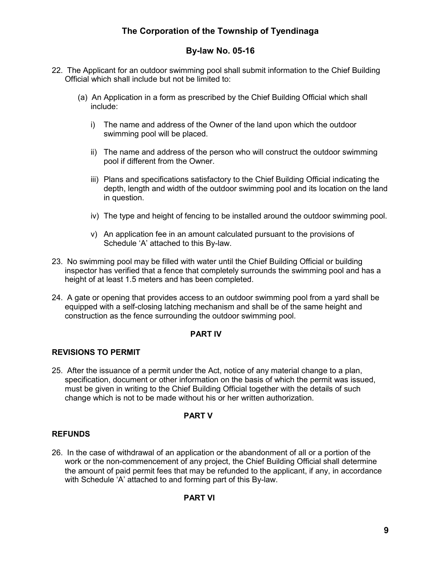## By-law No. 05-16

- 22. The Applicant for an outdoor swimming pool shall submit information to the Chief Building Official which shall include but not be limited to:
	- (a) An Application in a form as prescribed by the Chief Building Official which shall include:
		- i) The name and address of the Owner of the land upon which the outdoor swimming pool will be placed.
		- ii) The name and address of the person who will construct the outdoor swimming pool if different from the Owner.
		- iii) Plans and specifications satisfactory to the Chief Building Official indicating the depth, length and width of the outdoor swimming pool and its location on the land in question.
		- iv) The type and height of fencing to be installed around the outdoor swimming pool.
		- v) An application fee in an amount calculated pursuant to the provisions of Schedule 'A' attached to this By-law.
- 23. No swimming pool may be filled with water until the Chief Building Official or building inspector has verified that a fence that completely surrounds the swimming pool and has a height of at least 1.5 meters and has been completed.
- 24. A gate or opening that provides access to an outdoor swimming pool from a yard shall be equipped with a self-closing latching mechanism and shall be of the same height and construction as the fence surrounding the outdoor swimming pool.

#### PART IV

#### REVISIONS TO PERMIT

25. After the issuance of a permit under the Act, notice of any material change to a plan, specification, document or other information on the basis of which the permit was issued, must be given in writing to the Chief Building Official together with the details of such change which is not to be made without his or her written authorization.

#### PART V

#### REFUNDS

26. In the case of withdrawal of an application or the abandonment of all or a portion of the work or the non-commencement of any project, the Chief Building Official shall determine the amount of paid permit fees that may be refunded to the applicant, if any, in accordance with Schedule 'A' attached to and forming part of this By-law.

#### PART VI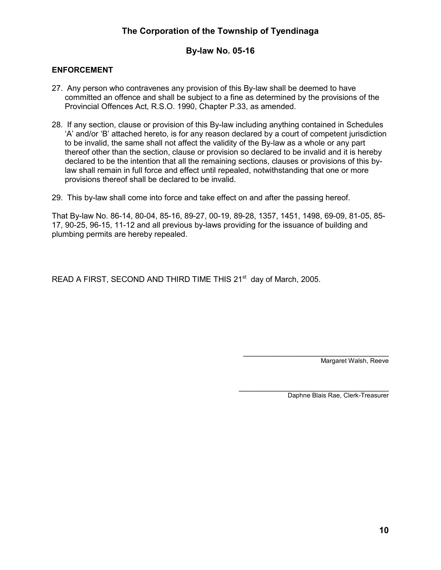#### By-law No. 05-16

#### ENFORCEMENT

- 27. Any person who contravenes any provision of this By-law shall be deemed to have committed an offence and shall be subject to a fine as determined by the provisions of the Provincial Offences Act, R.S.O. 1990, Chapter P.33, as amended.
- 28. If any section, clause or provision of this By-law including anything contained in Schedules 'A' and/or 'B' attached hereto, is for any reason declared by a court of competent jurisdiction to be invalid, the same shall not affect the validity of the By-law as a whole or any part thereof other than the section, clause or provision so declared to be invalid and it is hereby declared to be the intention that all the remaining sections, clauses or provisions of this bylaw shall remain in full force and effect until repealed, notwithstanding that one or more provisions thereof shall be declared to be invalid.
- 29. This by-law shall come into force and take effect on and after the passing hereof.

That By-law No. 86-14, 80-04, 85-16, 89-27, 00-19, 89-28, 1357, 1451, 1498, 69-09, 81-05, 85- 17, 90-25, 96-15, 11-12 and all previous by-laws providing for the issuance of building and plumbing permits are hereby repealed.

READ A FIRST, SECOND AND THIRD TIME THIS 21<sup>st</sup> day of March, 2005.

\_\_\_\_\_\_\_\_\_\_\_\_\_\_\_\_\_\_\_\_\_\_\_\_\_\_\_\_\_\_\_\_\_ Margaret Walsh, Reeve

Daphne Blais Rae, Clerk-Treasurer

\_\_\_\_\_\_\_\_\_\_\_\_\_\_\_\_\_\_\_\_\_\_\_\_\_\_\_\_\_\_\_\_\_\_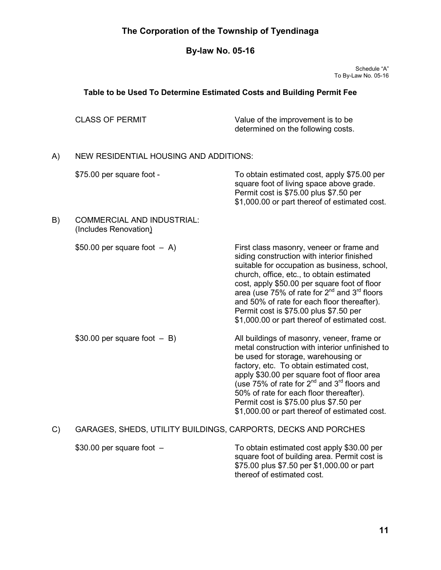# By-law No. 05-16

Schedule "A" To By-Law No. 05-16

# Table to be Used To Determine Estimated Costs and Building Permit Fee

|    | <b>CLASS OF PERMIT</b>                                         | Value of the improvement is to be<br>determined on the following costs.                                                                                                                                                                                                                                                                                                                                                                               |  |  |  |
|----|----------------------------------------------------------------|-------------------------------------------------------------------------------------------------------------------------------------------------------------------------------------------------------------------------------------------------------------------------------------------------------------------------------------------------------------------------------------------------------------------------------------------------------|--|--|--|
| A) | <b>NEW RESIDENTIAL HOUSING AND ADDITIONS:</b>                  |                                                                                                                                                                                                                                                                                                                                                                                                                                                       |  |  |  |
|    | \$75.00 per square foot -                                      | To obtain estimated cost, apply \$75.00 per<br>square foot of living space above grade.<br>Permit cost is \$75.00 plus \$7.50 per<br>\$1,000.00 or part thereof of estimated cost.                                                                                                                                                                                                                                                                    |  |  |  |
| B) | <b>COMMERCIAL AND INDUSTRIAL:</b><br>(Includes Renovation)     |                                                                                                                                                                                                                                                                                                                                                                                                                                                       |  |  |  |
|    | \$50.00 per square foot $-$ A)                                 | First class masonry, veneer or frame and<br>siding construction with interior finished<br>suitable for occupation as business, school,<br>church, office, etc., to obtain estimated<br>cost, apply \$50.00 per square foot of floor<br>area (use 75% of rate for 2 <sup>nd</sup> and 3 <sup>rd</sup> floors<br>and 50% of rate for each floor thereafter).<br>Permit cost is \$75.00 plus \$7.50 per<br>\$1,000.00 or part thereof of estimated cost. |  |  |  |
|    | \$30.00 per square foot $-$ B)                                 | All buildings of masonry, veneer, frame or<br>metal construction with interior unfinished to<br>be used for storage, warehousing or<br>factory, etc. To obtain estimated cost,<br>apply \$30.00 per square foot of floor area<br>(use 75% of rate for 2 <sup>nd</sup> and 3 <sup>rd</sup> floors and<br>50% of rate for each floor thereafter).<br>Permit cost is \$75.00 plus \$7.50 per<br>\$1,000.00 or part thereof of estimated cost.            |  |  |  |
| C) | GARAGES, SHEDS, UTILITY BUILDINGS, CARPORTS, DECKS AND PORCHES |                                                                                                                                                                                                                                                                                                                                                                                                                                                       |  |  |  |
|    | \$30.00 per square foot -                                      | To obtain estimated cost apply \$30.00 per<br>square foot of building area. Permit cost is<br>\$75.00 plus \$7.50 per \$1,000.00 or part                                                                                                                                                                                                                                                                                                              |  |  |  |

thereof of estimated cost.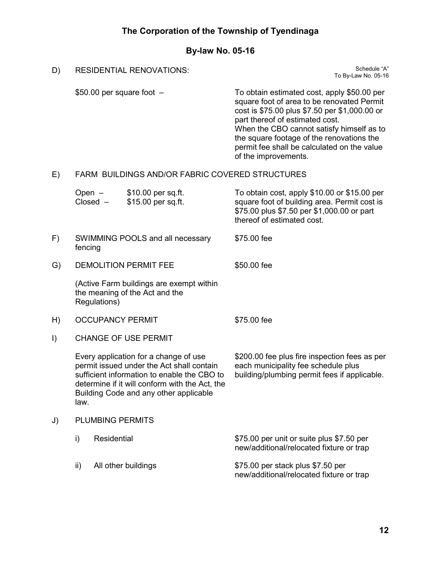# By-law No. 05-16

D) RESIDENTIAL RENOVATIONS: Schedule "A" Schedule "A"

| ו ש | KESIDENTIAL KENUVATIUNS.                                                                                                                                                                                                              |                                                                                            |                                          | To By-Law No. 05-16                                                                                                                                                                                                                                                                                                                            |  |  |
|-----|---------------------------------------------------------------------------------------------------------------------------------------------------------------------------------------------------------------------------------------|--------------------------------------------------------------------------------------------|------------------------------------------|------------------------------------------------------------------------------------------------------------------------------------------------------------------------------------------------------------------------------------------------------------------------------------------------------------------------------------------------|--|--|
|     |                                                                                                                                                                                                                                       |                                                                                            | $$50.00$ per square foot $-$             | To obtain estimated cost, apply \$50.00 per<br>square foot of area to be renovated Permit<br>cost is \$75.00 plus \$7.50 per \$1,000.00 or<br>part thereof of estimated cost.<br>When the CBO cannot satisfy himself as to<br>the square footage of the renovations the<br>permit fee shall be calculated on the value<br>of the improvements. |  |  |
| E)  |                                                                                                                                                                                                                                       | FARM BUILDINGS AND/OR FABRIC COVERED STRUCTURES                                            |                                          |                                                                                                                                                                                                                                                                                                                                                |  |  |
|     |                                                                                                                                                                                                                                       | Open $-$<br>$Closed -$                                                                     | \$10.00 per sq.ft.<br>\$15.00 per sq.ft. | To obtain cost, apply \$10.00 or \$15.00 per<br>square foot of building area. Permit cost is<br>\$75.00 plus \$7.50 per \$1,000.00 or part<br>thereof of estimated cost.                                                                                                                                                                       |  |  |
| F)  | SWIMMING POOLS and all necessary<br>\$75.00 fee<br>fencing                                                                                                                                                                            |                                                                                            |                                          |                                                                                                                                                                                                                                                                                                                                                |  |  |
| G)  | <b>DEMOLITION PERMIT FEE</b>                                                                                                                                                                                                          |                                                                                            |                                          | \$50.00 fee                                                                                                                                                                                                                                                                                                                                    |  |  |
|     |                                                                                                                                                                                                                                       | (Active Farm buildings are exempt within<br>the meaning of the Act and the<br>Regulations) |                                          |                                                                                                                                                                                                                                                                                                                                                |  |  |
| H)  | <b>OCCUPANCY PERMIT</b>                                                                                                                                                                                                               |                                                                                            |                                          | \$75.00 fee                                                                                                                                                                                                                                                                                                                                    |  |  |
| I)  | <b>CHANGE OF USE PERMIT</b>                                                                                                                                                                                                           |                                                                                            |                                          |                                                                                                                                                                                                                                                                                                                                                |  |  |
|     | Every application for a change of use<br>permit issued under the Act shall contain<br>sufficient information to enable the CBO to<br>determine if it will conform with the Act, the<br>Building Code and any other applicable<br>law. |                                                                                            |                                          | \$200.00 fee plus fire inspection fees as per<br>each municipality fee schedule plus<br>building/plumbing permit fees if applicable.                                                                                                                                                                                                           |  |  |
| J)  | <b>PLUMBING PERMITS</b>                                                                                                                                                                                                               |                                                                                            |                                          |                                                                                                                                                                                                                                                                                                                                                |  |  |
|     | i)                                                                                                                                                                                                                                    | Residential                                                                                |                                          | \$75.00 per unit or suite plus \$7.50 per<br>new/additional/relocated fixture or trap                                                                                                                                                                                                                                                          |  |  |
|     | ii)                                                                                                                                                                                                                                   |                                                                                            | All other buildings                      | \$75.00 per stack plus \$7.50 per<br>new/additional/relocated fixture or trap                                                                                                                                                                                                                                                                  |  |  |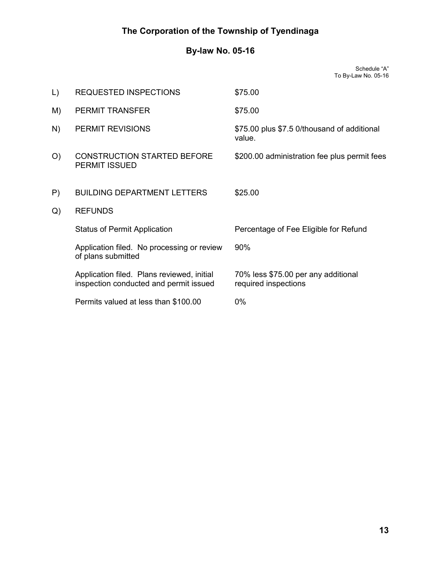# By-law No. 05-16

Schedule "A" To By-Law No. 05-16

| $\lfloor$ | <b>REQUESTED INSPECTIONS</b>                                                         | \$75.00                                                     |  |  |
|-----------|--------------------------------------------------------------------------------------|-------------------------------------------------------------|--|--|
| M)        | <b>PERMIT TRANSFER</b>                                                               | \$75.00                                                     |  |  |
| N)        | PERMIT REVISIONS                                                                     | \$75.00 plus \$7.5 0/thousand of additional<br>value.       |  |  |
| O         | <b>CONSTRUCTION STARTED BEFORE</b><br><b>PERMIT ISSUED</b>                           | \$200.00 administration fee plus permit fees                |  |  |
| P)        | <b>BUILDING DEPARTMENT LETTERS</b>                                                   | \$25.00                                                     |  |  |
| Q)        | <b>REFUNDS</b>                                                                       |                                                             |  |  |
|           | <b>Status of Permit Application</b>                                                  | Percentage of Fee Eligible for Refund                       |  |  |
|           | Application filed. No processing or review<br>of plans submitted                     | 90%                                                         |  |  |
|           | Application filed. Plans reviewed, initial<br>inspection conducted and permit issued | 70% less \$75.00 per any additional<br>required inspections |  |  |
|           | Permits valued at less than \$100.00                                                 | $0\%$                                                       |  |  |
|           |                                                                                      |                                                             |  |  |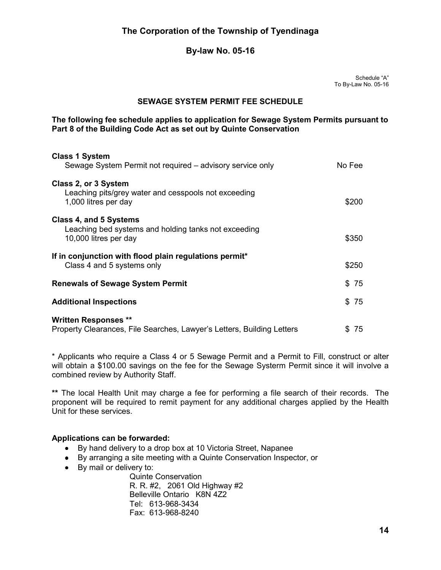#### By-law No. 05-16

Schedule "A" To By-Law No. 05-16

#### SEWAGE SYSTEM PERMIT FEE SCHEDULE

#### The following fee schedule applies to application for Sewage System Permits pursuant to Part 8 of the Building Code Act as set out by Quinte Conservation

| <b>Class 1 System</b>                                                                                |           |  |  |  |
|------------------------------------------------------------------------------------------------------|-----------|--|--|--|
| Sewage System Permit not required – advisory service only                                            | No Fee    |  |  |  |
| Class 2, or 3 System<br>Leaching pits/grey water and cesspools not exceeding<br>1,000 litres per day | \$200     |  |  |  |
| Class 4, and 5 Systems                                                                               |           |  |  |  |
| Leaching bed systems and holding tanks not exceeding<br>10,000 litres per day                        | \$350     |  |  |  |
| If in conjunction with flood plain regulations permit*                                               |           |  |  |  |
| Class 4 and 5 systems only                                                                           | \$250     |  |  |  |
| <b>Renewals of Sewage System Permit</b>                                                              |           |  |  |  |
| <b>Additional Inspections</b>                                                                        | \$75      |  |  |  |
| <b>Written Responses **</b>                                                                          |           |  |  |  |
| Property Clearances, File Searches, Lawyer's Letters, Building Letters                               | \$.<br>75 |  |  |  |

\* Applicants who require a Class 4 or 5 Sewage Permit and a Permit to Fill, construct or alter will obtain a \$100.00 savings on the fee for the Sewage Systerm Permit since it will involve a combined review by Authority Staff.

\*\* The local Health Unit may charge a fee for performing a file search of their records. The proponent will be required to remit payment for any additional charges applied by the Health Unit for these services.

#### Applications can be forwarded:

- By hand delivery to a drop box at 10 Victoria Street, Napanee
- By arranging a site meeting with a Quinte Conservation Inspector, or
- By mail or delivery to:

Quinte Conservation R. R. #2, 2061 Old Highway #2 Belleville Ontario K8N 4Z2 Tel: 613-968-3434 Fax: 613-968-8240